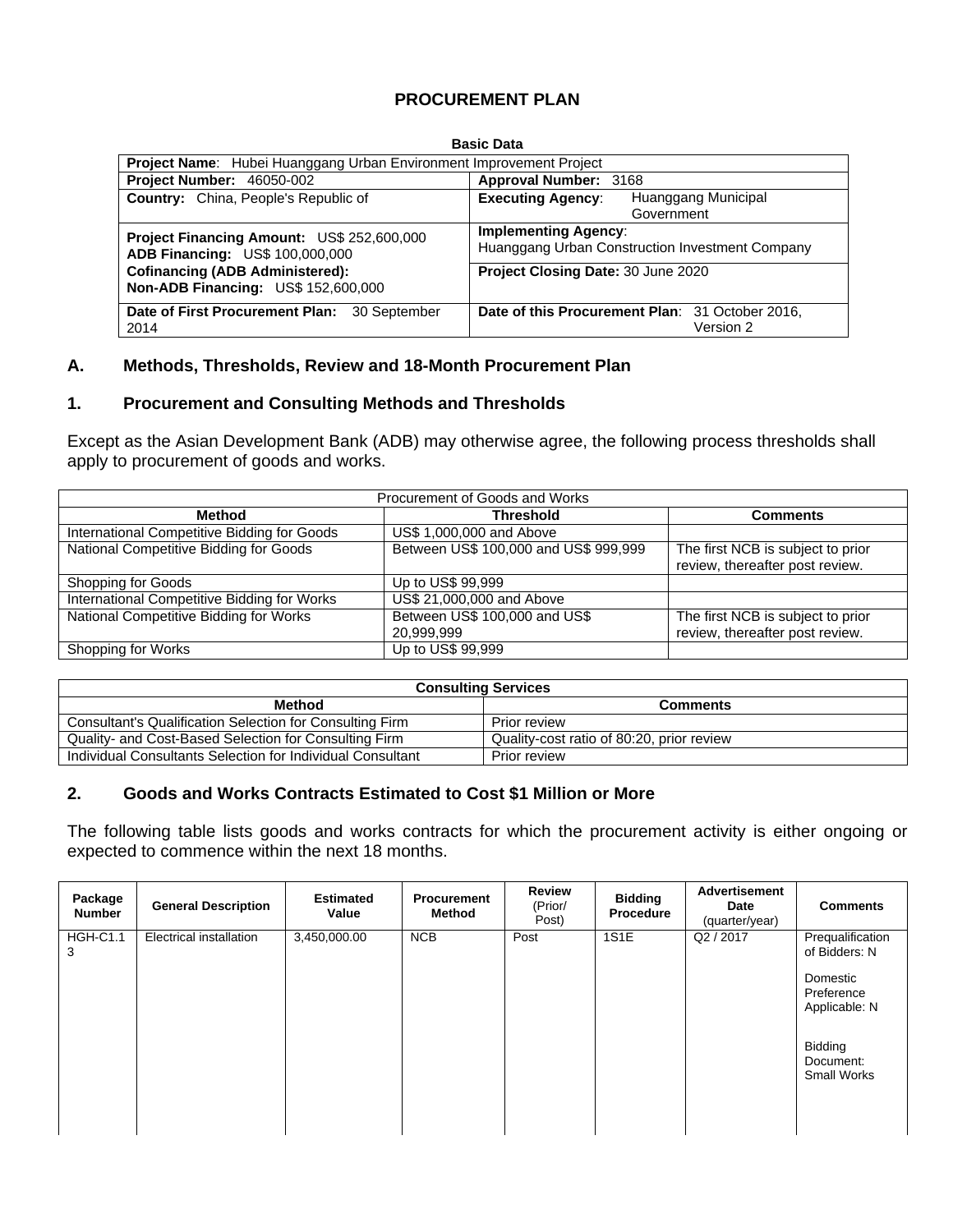### **PROCUREMENT PLAN**

| <b>Basic Data</b>                                                                           |                                                                                |  |  |  |  |  |  |  |
|---------------------------------------------------------------------------------------------|--------------------------------------------------------------------------------|--|--|--|--|--|--|--|
| <b>Project Name:</b> Hubei Huanggang Urban Environment Improvement Project                  |                                                                                |  |  |  |  |  |  |  |
| <b>Project Number: 46050-002</b>                                                            | Approval Number: 3168                                                          |  |  |  |  |  |  |  |
| <b>Country:</b> China, People's Republic of                                                 | Huanggang Municipal<br><b>Executing Agency:</b><br>Government                  |  |  |  |  |  |  |  |
| <b>Project Financing Amount: US\$ 252,600,000</b><br><b>ADB Financing: US\$ 100,000,000</b> | <b>Implementing Agency:</b><br>Huanggang Urban Construction Investment Company |  |  |  |  |  |  |  |
| <b>Cofinancing (ADB Administered):</b><br>Non-ADB Financing: US\$ 152,600,000               | Project Closing Date: 30 June 2020                                             |  |  |  |  |  |  |  |
| Date of First Procurement Plan:<br>30 September<br>2014                                     | Date of this Procurement Plan: 31 October 2016,<br>Version 2                   |  |  |  |  |  |  |  |

#### **A. Methods, Thresholds, Review and 18-Month Procurement Plan**

#### **1. Procurement and Consulting Methods and Thresholds**

Except as the Asian Development Bank (ADB) may otherwise agree, the following process thresholds shall apply to procurement of goods and works.

| Procurement of Goods and Works              |                                             |                                                                      |  |  |  |  |  |  |
|---------------------------------------------|---------------------------------------------|----------------------------------------------------------------------|--|--|--|--|--|--|
| Method                                      | Threshold                                   | <b>Comments</b>                                                      |  |  |  |  |  |  |
| International Competitive Bidding for Goods | US\$ 1,000,000 and Above                    |                                                                      |  |  |  |  |  |  |
| National Competitive Bidding for Goods      | Between US\$ 100,000 and US\$ 999,999       | The first NCB is subject to prior<br>review, thereafter post review. |  |  |  |  |  |  |
| Shopping for Goods                          | Up to US\$ 99,999                           |                                                                      |  |  |  |  |  |  |
| International Competitive Bidding for Works | US\$ 21,000,000 and Above                   |                                                                      |  |  |  |  |  |  |
| National Competitive Bidding for Works      | Between US\$ 100,000 and US\$<br>20,999,999 | The first NCB is subject to prior<br>review, thereafter post review. |  |  |  |  |  |  |
| Shopping for Works                          | Up to US\$ 99,999                           |                                                                      |  |  |  |  |  |  |

| <b>Consulting Services</b>                                 |                                           |  |  |  |  |  |
|------------------------------------------------------------|-------------------------------------------|--|--|--|--|--|
| <b>Method</b><br><b>Comments</b>                           |                                           |  |  |  |  |  |
| Consultant's Qualification Selection for Consulting Firm   | <b>Prior review</b>                       |  |  |  |  |  |
| Quality- and Cost-Based Selection for Consulting Firm      | Quality-cost ratio of 80:20, prior review |  |  |  |  |  |
| Individual Consultants Selection for Individual Consultant | <b>Prior review</b>                       |  |  |  |  |  |

#### **2. Goods and Works Contracts Estimated to Cost \$1 Million or More**

The following table lists goods and works contracts for which the procurement activity is either ongoing or expected to commence within the next 18 months.

| Package<br><b>Number</b> | <b>General Description</b> | <b>Estimated</b><br>Value | <b>Procurement</b><br>Method | <b>Review</b><br>(Prior/<br>Post) | <b>Bidding</b><br><b>Procedure</b> | <b>Advertisement</b><br>Date<br>(quarter/year) | <b>Comments</b>                                                                                                            |
|--------------------------|----------------------------|---------------------------|------------------------------|-----------------------------------|------------------------------------|------------------------------------------------|----------------------------------------------------------------------------------------------------------------------------|
| <b>HGH-C1.1</b><br>3     | Electrical installation    | 3,450,000.00              | NCB                          | Post                              | 1S1E                               | Q2 / 2017                                      | Prequalification<br>of Bidders: N<br>Domestic<br>Preference<br>Applicable: N<br>Bidding<br>Document:<br><b>Small Works</b> |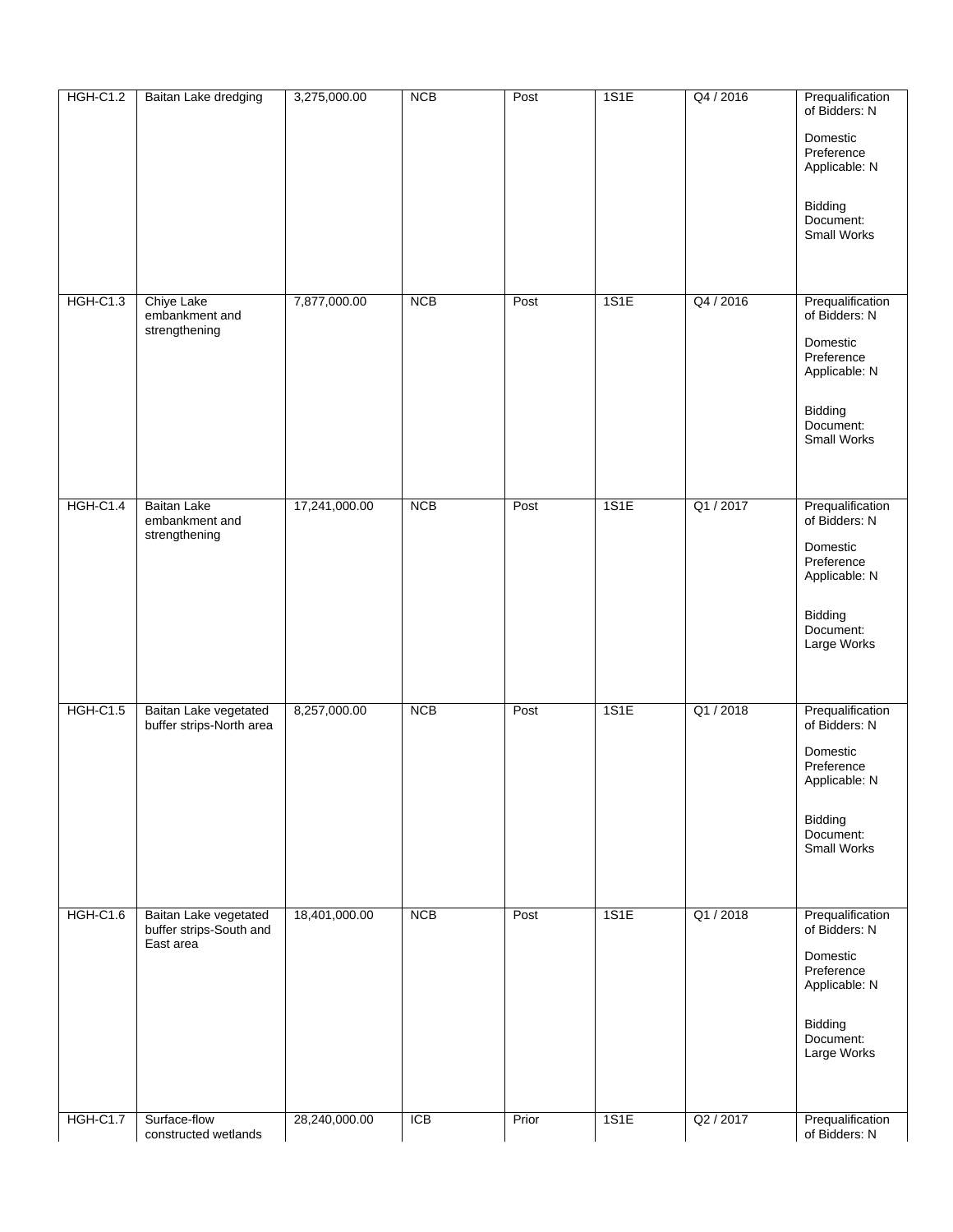| <b>HGH-C1.2</b> | Baitan Lake dredging                                          | 3,275,000.00  | <b>NCB</b> | Post  | 1S1E | Q4 / 2016 | Prequalification<br>of Bidders: N<br>Domestic<br>Preference |
|-----------------|---------------------------------------------------------------|---------------|------------|-------|------|-----------|-------------------------------------------------------------|
|                 |                                                               |               |            |       |      |           | Applicable: N                                               |
|                 |                                                               |               |            |       |      |           | Bidding<br>Document:<br><b>Small Works</b>                  |
|                 |                                                               |               |            |       |      |           |                                                             |
| <b>HGH-C1.3</b> | <b>Chiye Lake</b><br>embankment and<br>strengthening          | 7,877,000.00  | <b>NCB</b> | Post  | 1S1E | Q4 / 2016 | Prequalification<br>of Bidders: N                           |
|                 |                                                               |               |            |       |      |           | Domestic<br>Preference<br>Applicable: N                     |
|                 |                                                               |               |            |       |      |           | Bidding<br>Document:<br><b>Small Works</b>                  |
|                 |                                                               |               |            |       |      |           |                                                             |
| <b>HGH-C1.4</b> | <b>Baitan Lake</b><br>embankment and<br>strengthening         | 17,241,000.00 | <b>NCB</b> | Post  | 1S1E | Q1 / 2017 | Prequalification<br>of Bidders: N                           |
|                 |                                                               |               |            |       |      |           | Domestic<br>Preference<br>Applicable: N                     |
|                 |                                                               |               |            |       |      |           | Bidding<br>Document:<br>Large Works                         |
| <b>HGH-C1.5</b> | Baitan Lake vegetated                                         | 8,257,000.00  | <b>NCB</b> | Post  | 1S1E | Q1 / 2018 | Prequalification                                            |
|                 | buffer strips-North area                                      |               |            |       |      |           | of Bidders: N<br>Domestic<br>Preference                     |
|                 |                                                               |               |            |       |      |           | Applicable: N                                               |
|                 |                                                               |               |            |       |      |           | Bidding<br>Document:<br>Small Works                         |
|                 |                                                               |               |            |       |      |           |                                                             |
| <b>HGH-C1.6</b> | Baitan Lake vegetated<br>buffer strips-South and<br>East area | 18,401,000.00 | <b>NCB</b> | Post  | 1S1E | Q1/2018   | Prequalification<br>of Bidders: N                           |
|                 |                                                               |               |            |       |      |           | Domestic<br>Preference<br>Applicable: N                     |
|                 |                                                               |               |            |       |      |           | Bidding<br>Document:<br>Large Works                         |
|                 |                                                               |               |            |       |      |           |                                                             |
| <b>HGH-C1.7</b> | Surface-flow<br>constructed wetlands                          | 28,240,000.00 | <b>ICB</b> | Prior | 1S1E | Q2 / 2017 | Prequalification<br>of Bidders: N                           |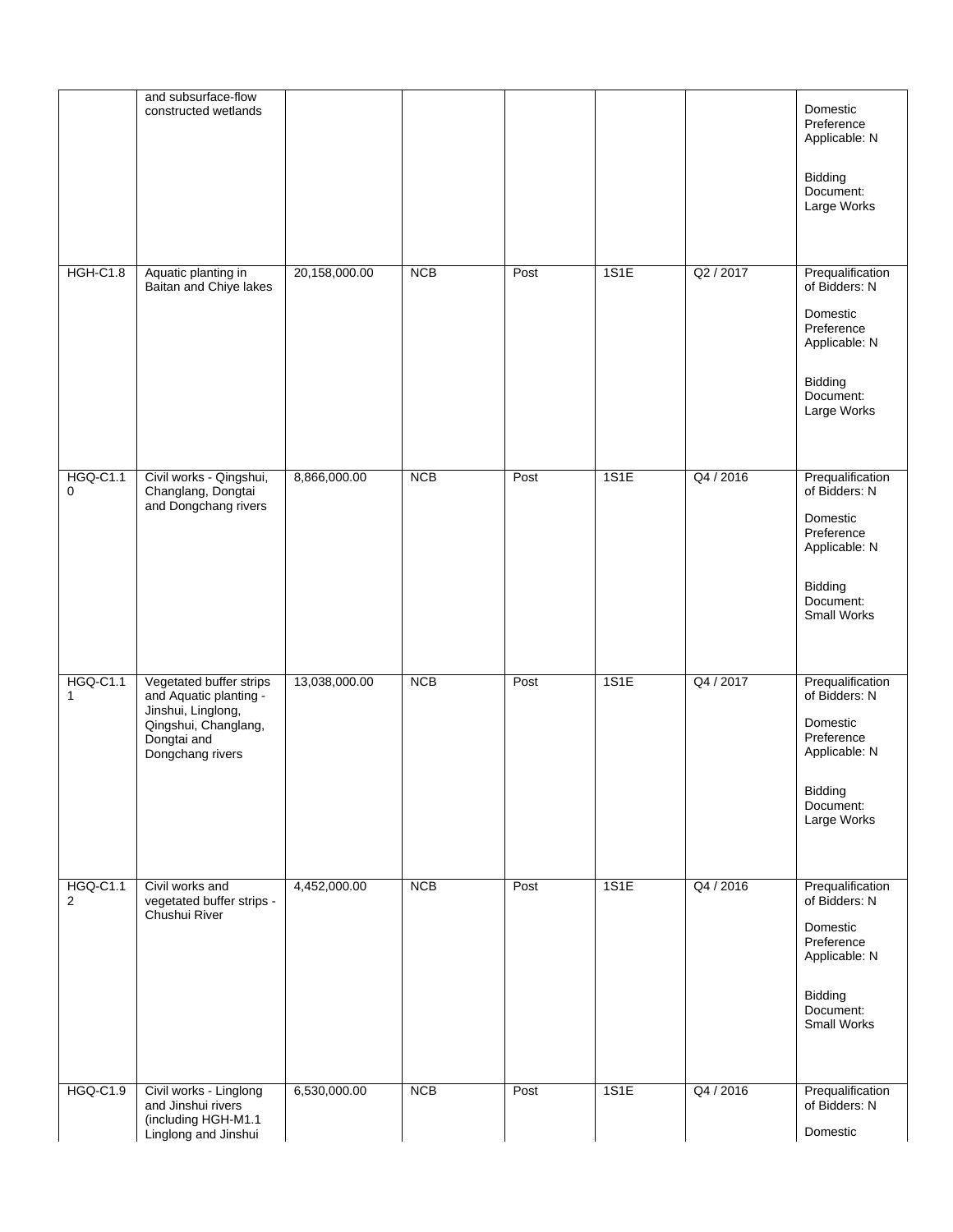|                                   | and subsurface-flow<br>constructed wetlands                                                                                        |               |            |      |      |           | Domestic<br>Preference<br>Applicable: N<br>Bidding<br>Document:<br>Large Works                                             |
|-----------------------------------|------------------------------------------------------------------------------------------------------------------------------------|---------------|------------|------|------|-----------|----------------------------------------------------------------------------------------------------------------------------|
| <b>HGH-C1.8</b>                   | Aquatic planting in<br>Baitan and Chiye lakes                                                                                      | 20,158,000.00 | <b>NCB</b> | Post | 1S1E | Q2 / 2017 | Prequalification<br>of Bidders: N<br>Domestic<br>Preference<br>Applicable: N<br>Bidding<br>Document:<br>Large Works        |
| <b>HGQ-C1.1</b><br>$\mathbf 0$    | Civil works - Qingshui,<br>Changlang, Dongtai<br>and Dongchang rivers                                                              | 8,866,000.00  | <b>NCB</b> | Post | 1S1E | Q4 / 2016 | Prequalification<br>of Bidders: N<br>Domestic<br>Preference<br>Applicable: N<br>Bidding<br>Document:<br><b>Small Works</b> |
| <b>HGQ-C1.1</b><br>$\mathbf{1}$   | Vegetated buffer strips<br>and Aquatic planting -<br>Jinshui, Linglong,<br>Qingshui, Changlang,<br>Dongtai and<br>Dongchang rivers | 13,038,000.00 | <b>NCB</b> | Post | 1S1E | Q4 / 2017 | Prequalification<br>of Bidders: N<br>Domestic<br>Preference<br>Applicable: N<br>Bidding<br>Document:<br>Large Works        |
| <b>HGQ-C1.1</b><br>$\overline{2}$ | Civil works and<br>vegetated buffer strips -<br>Chushui River                                                                      | 4,452,000.00  | <b>NCB</b> | Post | 1S1E | Q4 / 2016 | Prequalification<br>of Bidders: N<br>Domestic<br>Preference<br>Applicable: N<br>Bidding<br>Document:<br>Small Works        |
| <b>HGQ-C1.9</b>                   | Civil works - Linglong<br>and Jinshui rivers<br>(including HGH-M1.1<br>Linglong and Jinshui                                        | 6,530,000.00  | <b>NCB</b> | Post | 1S1E | Q4 / 2016 | Prequalification<br>of Bidders: N<br>Domestic                                                                              |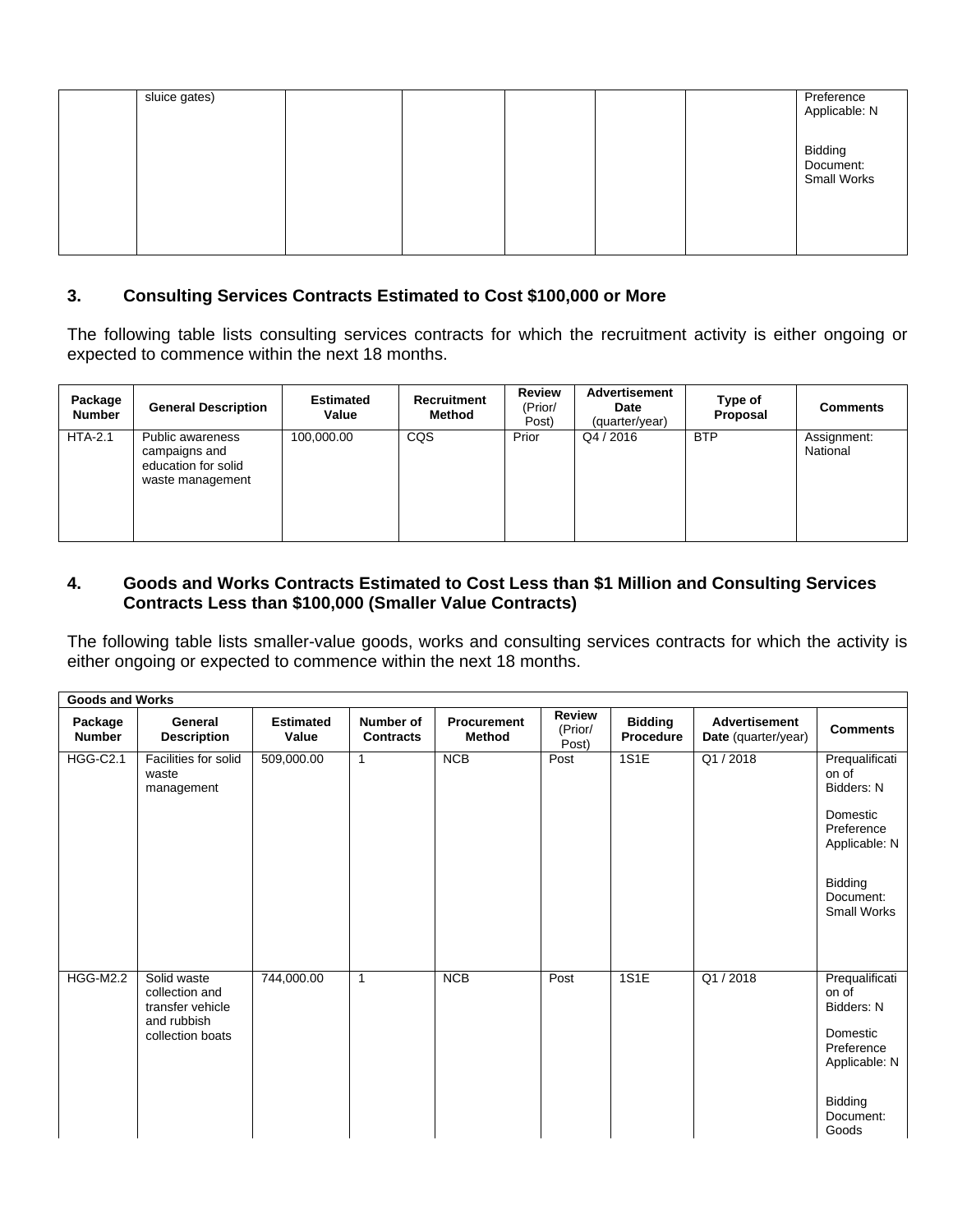| sluice gates) |  | Preference<br>Applicable: N                |
|---------------|--|--------------------------------------------|
|               |  | Bidding<br>Document:<br><b>Small Works</b> |

## **3. Consulting Services Contracts Estimated to Cost \$100,000 or More**

The following table lists consulting services contracts for which the recruitment activity is either ongoing or expected to commence within the next 18 months.

| Package<br><b>Number</b> | <b>General Description</b>                                                   | <b>Estimated</b><br>Value | <b>Recruitment</b><br>Method | <b>Review</b><br>(Prior/<br>Post) | Advertisement<br>Date<br>(quarter/year) | Type of<br>Proposal | <b>Comments</b>         |
|--------------------------|------------------------------------------------------------------------------|---------------------------|------------------------------|-----------------------------------|-----------------------------------------|---------------------|-------------------------|
| $HTA-2.1$                | Public awareness<br>campaigns and<br>education for solid<br>waste management | 100,000.00                | <b>CQS</b>                   | Prior                             | Q4/2016                                 | <b>BTP</b>          | Assignment:<br>National |

### **4. Goods and Works Contracts Estimated to Cost Less than \$1 Million and Consulting Services Contracts Less than \$100,000 (Smaller Value Contracts)**

The following table lists smaller-value goods, works and consulting services contracts for which the activity is either ongoing or expected to commence within the next 18 months.

|                          | <b>Goods and Works</b>                            |                           |                               |                                     |                                   |                                    |                                             |                                            |  |  |
|--------------------------|---------------------------------------------------|---------------------------|-------------------------------|-------------------------------------|-----------------------------------|------------------------------------|---------------------------------------------|--------------------------------------------|--|--|
| Package<br><b>Number</b> | General<br><b>Description</b>                     | <b>Estimated</b><br>Value | Number of<br><b>Contracts</b> | <b>Procurement</b><br><b>Method</b> | <b>Review</b><br>(Prior/<br>Post) | <b>Bidding</b><br><b>Procedure</b> | <b>Advertisement</b><br>Date (quarter/year) | <b>Comments</b>                            |  |  |
| <b>HGG-C2.1</b>          | Facilities for solid<br>waste<br>management       | 509,000.00                | $\mathbf{1}$                  | <b>NCB</b>                          | Post                              | <b>1S1E</b>                        | Q1/2018                                     | Prequalificati<br>on of<br>Bidders: N      |  |  |
|                          |                                                   |                           |                               |                                     |                                   |                                    |                                             | Domestic<br>Preference<br>Applicable: N    |  |  |
|                          |                                                   |                           |                               |                                     |                                   |                                    |                                             | Bidding<br>Document:<br><b>Small Works</b> |  |  |
| <b>HGG-M2.2</b>          | Solid waste<br>collection and<br>transfer vehicle | 744,000.00                | $\mathbf{1}$                  | <b>NCB</b>                          | Post                              | 1S1E                               | Q1/2018                                     | Prequalificati<br>on of<br>Bidders: N      |  |  |
|                          | and rubbish<br>collection boats                   |                           |                               |                                     |                                   |                                    |                                             | Domestic<br>Preference<br>Applicable: N    |  |  |
|                          |                                                   |                           |                               |                                     |                                   |                                    |                                             | Bidding<br>Document:<br>Goods              |  |  |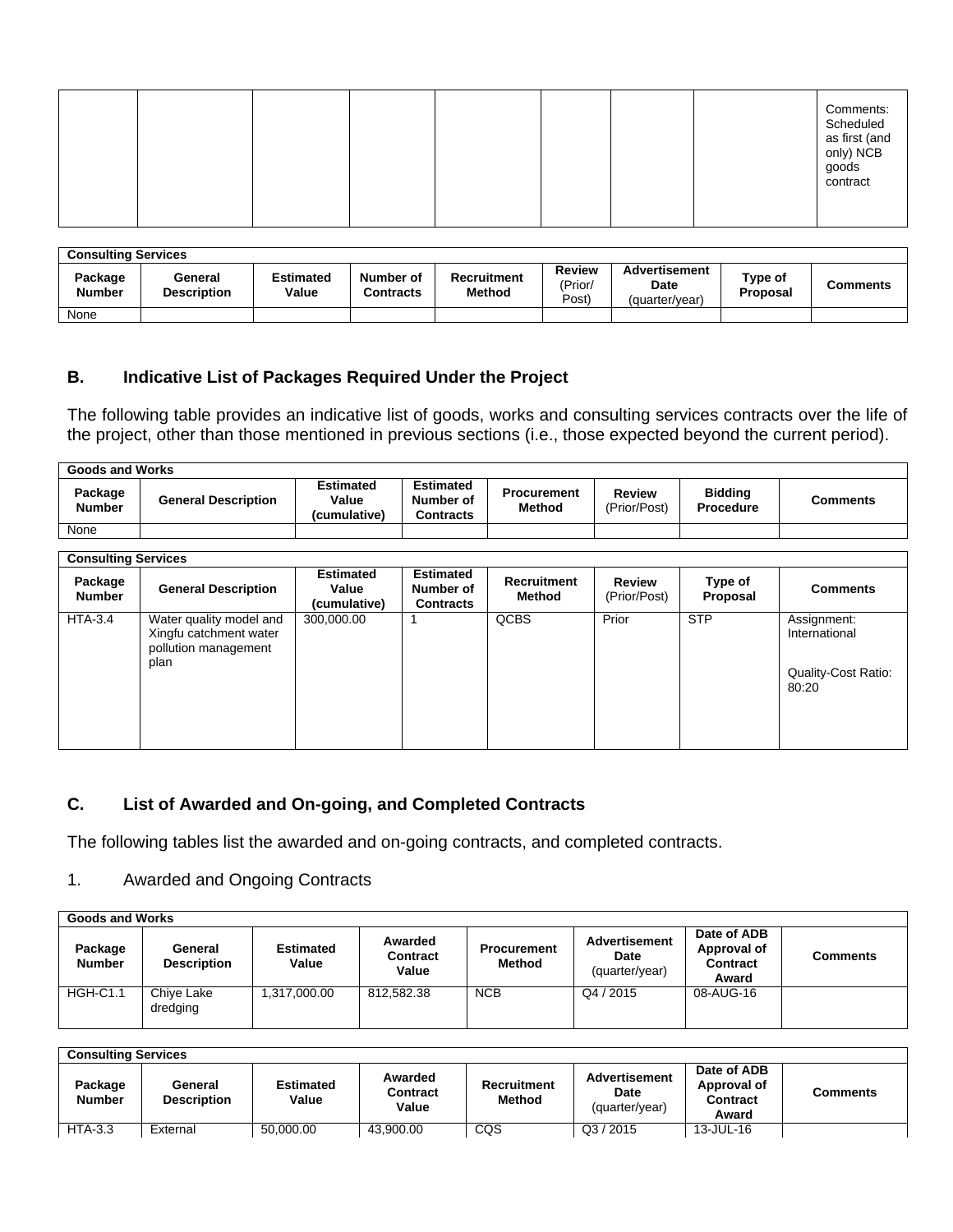|  |  |  |  |  |  |  |  | Comments:<br>Scheduled<br>as first (and<br>only) NCB<br>goods<br>contract |
|--|--|--|--|--|--|--|--|---------------------------------------------------------------------------|
|--|--|--|--|--|--|--|--|---------------------------------------------------------------------------|

| <b>Consulting Services</b> |                               |                           |                               |                                     |                                   |                                                |                     |          |  |
|----------------------------|-------------------------------|---------------------------|-------------------------------|-------------------------------------|-----------------------------------|------------------------------------------------|---------------------|----------|--|
| Package<br><b>Number</b>   | General<br><b>Description</b> | <b>Estimated</b><br>Value | Number of<br><b>Contracts</b> | <b>Recruitment</b><br><b>Method</b> | <b>Review</b><br>(Prior/<br>Post) | <b>Advertisement</b><br>Date<br>(quarter/year) | Type of<br>Proposal | Comments |  |
| None                       |                               |                           |                               |                                     |                                   |                                                |                     |          |  |

### **B. Indicative List of Packages Required Under the Project**

The following table provides an indicative list of goods, works and consulting services contracts over the life of the project, other than those mentioned in previous sections (i.e., those expected beyond the current period).

| <b>Goods and Works</b> |                            |                                           |                                            |                                     |                        |                             |          |  |  |
|------------------------|----------------------------|-------------------------------------------|--------------------------------------------|-------------------------------------|------------------------|-----------------------------|----------|--|--|
| Package<br>Number      | <b>General Description</b> | <b>Estimated</b><br>Value<br>(cumulative) | <b>Estimated</b><br>Number of<br>Contracts | <b>Procurement</b><br><b>Method</b> | Review<br>(Prior/Post) | <b>Bidding</b><br>Procedure | Comments |  |  |
| None                   |                            |                                           |                                            |                                     |                        |                             |          |  |  |

| <b>Consulting Services</b> |                                                                                   |                                           |                                                   |                       |                               |                     |                                                                     |  |
|----------------------------|-----------------------------------------------------------------------------------|-------------------------------------------|---------------------------------------------------|-----------------------|-------------------------------|---------------------|---------------------------------------------------------------------|--|
| Package<br><b>Number</b>   | <b>General Description</b>                                                        | <b>Estimated</b><br>Value<br>(cumulative) | <b>Estimated</b><br>Number of<br><b>Contracts</b> | Recruitment<br>Method | <b>Review</b><br>(Prior/Post) | Type of<br>Proposal | <b>Comments</b>                                                     |  |
| $HTA-3.4$                  | Water quality model and<br>Xingfu catchment water<br>pollution management<br>plan | 300,000.00                                |                                                   | <b>QCBS</b>           | Prior                         | <b>STP</b>          | Assignment:<br>International<br><b>Quality-Cost Ratio:</b><br>80:20 |  |

## **C. List of Awarded and On-going, and Completed Contracts**

The following tables list the awarded and on-going contracts, and completed contracts.

#### 1. Awarded and Ongoing Contracts

| <b>Goods and Works</b>   |                               |                           |                              |                              |                                         |                                                        |                 |  |
|--------------------------|-------------------------------|---------------------------|------------------------------|------------------------------|-----------------------------------------|--------------------------------------------------------|-----------------|--|
| Package<br><b>Number</b> | General<br><b>Description</b> | <b>Estimated</b><br>Value | Awarded<br>Contract<br>Value | <b>Procurement</b><br>Method | Advertisement<br>Date<br>(quarter/year) | Date of ADB<br>Approval of<br><b>Contract</b><br>Award | <b>Comments</b> |  |
| <b>HGH-C1.1</b>          | Chive Lake<br>dredging        | 1.317.000.00              | 812.582.38                   | <b>NCB</b>                   | Q4 / 2015                               | 08-AUG-16                                              |                 |  |

| <b>Consulting Services</b> |                               |                           |                                     |                              |                                                |                                                        |          |  |
|----------------------------|-------------------------------|---------------------------|-------------------------------------|------------------------------|------------------------------------------------|--------------------------------------------------------|----------|--|
| Package<br><b>Number</b>   | General<br><b>Description</b> | <b>Estimated</b><br>Value | Awarded<br><b>Contract</b><br>Value | Recruitment<br><b>Method</b> | Advertisement<br><b>Date</b><br>(quarter/year) | Date of ADB<br>Approval of<br><b>Contract</b><br>Award | Comments |  |
| $HTA-3.3$                  | External                      | 50.000.00                 | 43.900.00                           | CQS                          | Q3 / 2015                                      | 13-JUL-16                                              |          |  |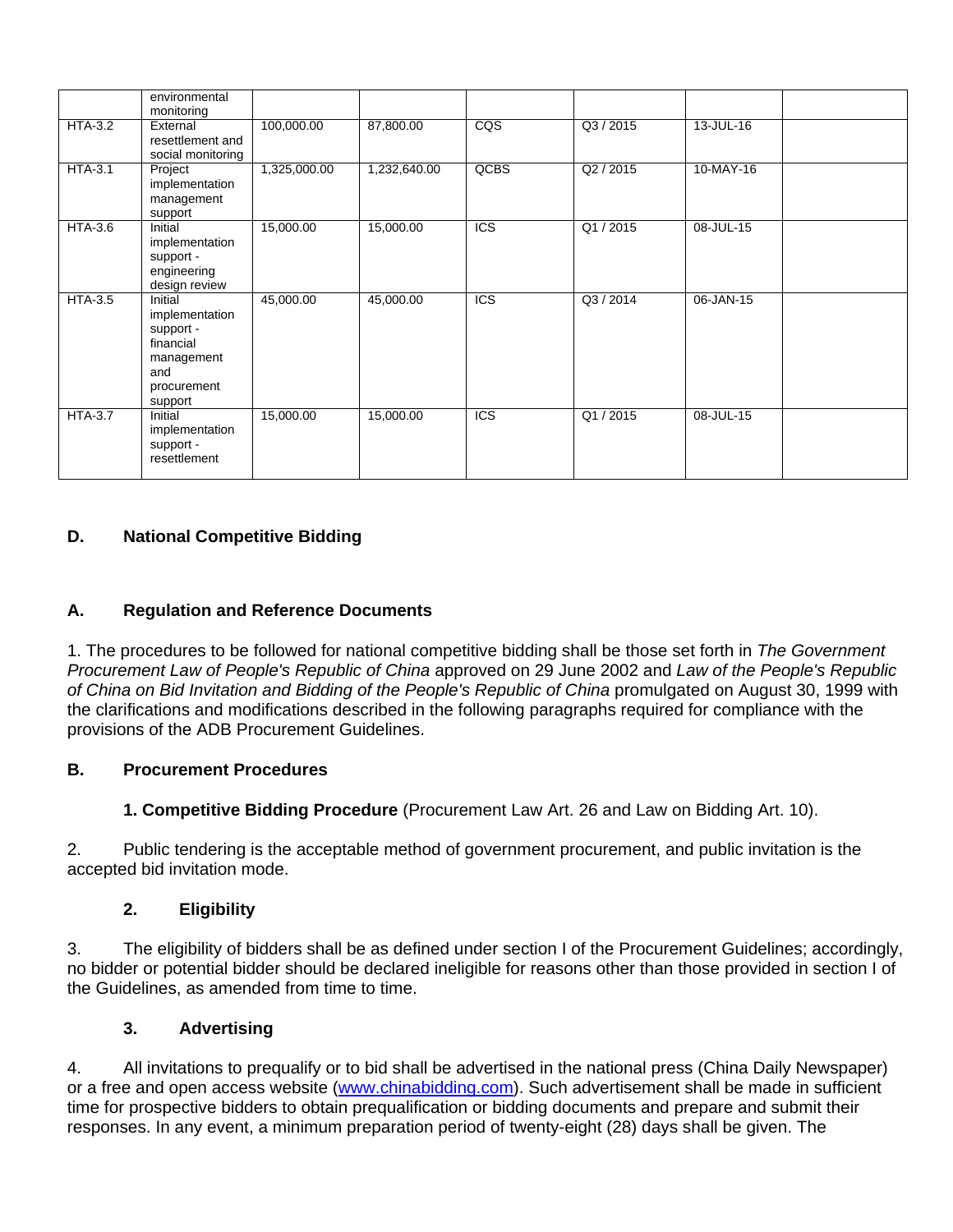|                | environmental<br>monitoring                                                                        |              |              |                         |         |           |  |
|----------------|----------------------------------------------------------------------------------------------------|--------------|--------------|-------------------------|---------|-----------|--|
| $HTA-3.2$      | External<br>resettlement and<br>social monitoring                                                  | 100,000.00   | 87,800.00    | $\overline{\text{cos}}$ | Q3/2015 | 13-JUL-16 |  |
| $HTA-3.1$      | Project<br>implementation<br>management<br>support                                                 | 1,325,000.00 | 1,232,640.00 | QCBS                    | Q2/2015 | 10-MAY-16 |  |
| HTA-3.6        | Initial<br>implementation<br>support -<br>engineering<br>design review                             | 15,000.00    | 15,000.00    | <b>ICS</b>              | Q1/2015 | 08-JUL-15 |  |
| <b>HTA-3.5</b> | Initial<br>implementation<br>support -<br>financial<br>management<br>and<br>procurement<br>support | 45,000.00    | 45,000.00    | <b>ICS</b>              | Q3/2014 | 06-JAN-15 |  |
| <b>HTA-3.7</b> | Initial<br>implementation<br>support -<br>resettlement                                             | 15,000.00    | 15,000.00    | <b>ICS</b>              | Q1/2015 | 08-JUL-15 |  |

# **D. National Competitive Bidding**

## **A. Regulation and Reference Documents**

1. The procedures to be followed for national competitive bidding shall be those set forth in The Government Procurement Law of People's Republic of China approved on 29 June 2002 and Law of the People's Republic of China on Bid Invitation and Bidding of the People's Republic of China promulgated on August 30, 1999 with the clarifications and modifications described in the following paragraphs required for compliance with the provisions of the ADB Procurement Guidelines.

### **B. Procurement Procedures**

**1. Competitive Bidding Procedure** (Procurement Law Art. 26 and Law on Bidding Art. 10).

2. Public tendering is the acceptable method of government procurement, and public invitation is the accepted bid invitation mode.

### **2. Eligibility**

3. The eligibility of bidders shall be as defined under section I of the Procurement Guidelines; accordingly, no bidder or potential bidder should be declared ineligible for reasons other than those provided in section I of the Guidelines, as amended from time to time.

### **3. Advertising**

4. All invitations to prequalify or to bid shall be advertised in the national press (China Daily Newspaper) or a free and open access website [\(www.chinabidding.com\)](file:/s02/adbprd/applcsf/log/www.chinabidding.com). Such advertisement shall be made in sufficient time for prospective bidders to obtain prequalification or bidding documents and prepare and submit their responses. In any event, a minimum preparation period of twenty-eight (28) days shall be given. The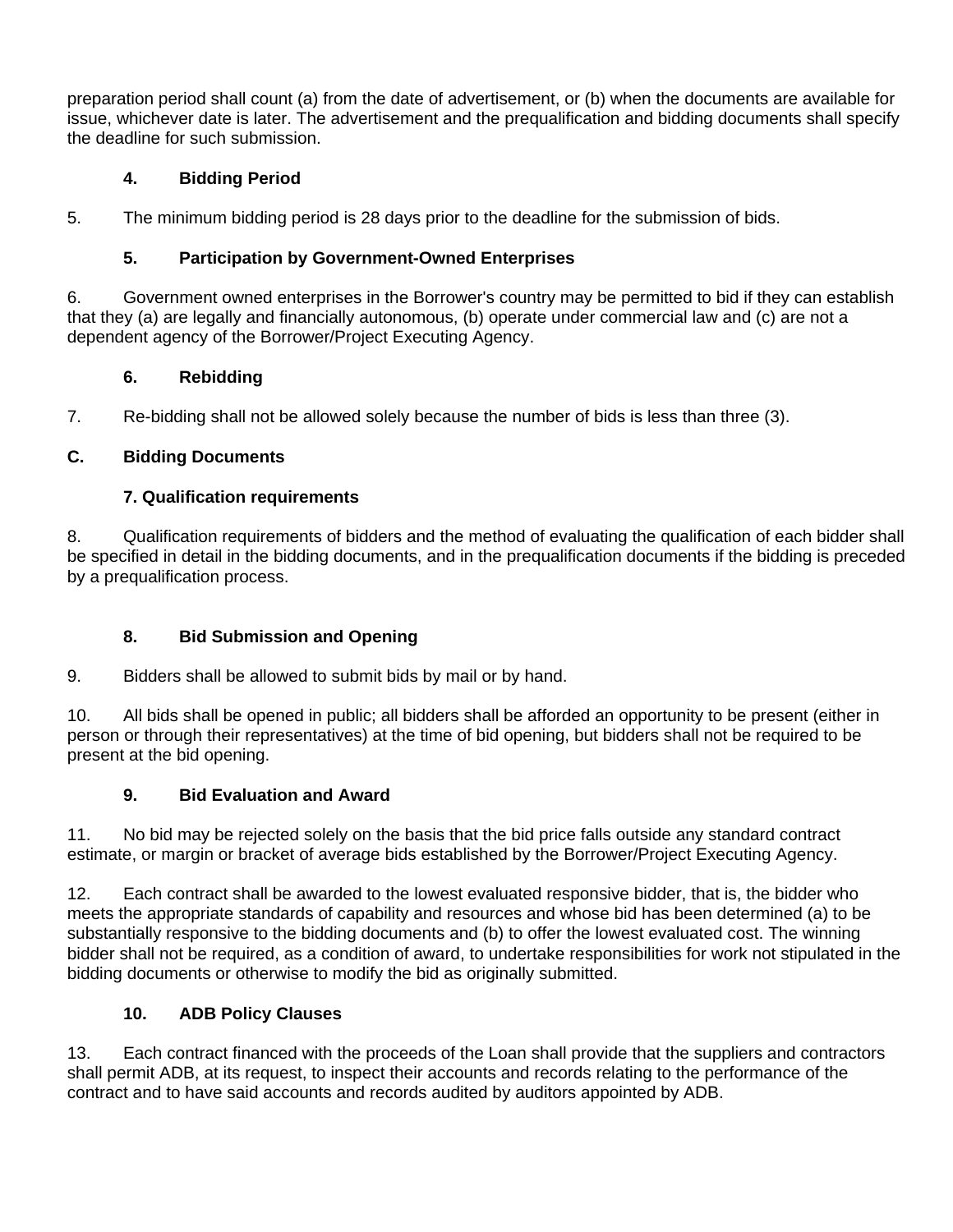preparation period shall count (a) from the date of advertisement, or (b) when the documents are available for issue, whichever date is later. The advertisement and the prequalification and bidding documents shall specify the deadline for such submission.

# **4. Bidding Period**

5. The minimum bidding period is 28 days prior to the deadline for the submission of bids.

# **5. Participation by Government-Owned Enterprises**

6. Government owned enterprises in the Borrower's country may be permitted to bid if they can establish that they (a) are legally and financially autonomous, (b) operate under commercial law and (c) are not a dependent agency of the Borrower/Project Executing Agency.

# **6. Rebidding**

7. Re-bidding shall not be allowed solely because the number of bids is less than three (3).

# **C. Bidding Documents**

# **7. Qualification requirements**

8. Qualification requirements of bidders and the method of evaluating the qualification of each bidder shall be specified in detail in the bidding documents, and in the prequalification documents if the bidding is preceded by a prequalification process.

# **8. Bid Submission and Opening**

9. Bidders shall be allowed to submit bids by mail or by hand.

10. All bids shall be opened in public; all bidders shall be afforded an opportunity to be present (either in person or through their representatives) at the time of bid opening, but bidders shall not be required to be present at the bid opening.

# **9. Bid Evaluation and Award**

11. No bid may be rejected solely on the basis that the bid price falls outside any standard contract estimate, or margin or bracket of average bids established by the Borrower/Project Executing Agency.

12. Each contract shall be awarded to the lowest evaluated responsive bidder, that is, the bidder who meets the appropriate standards of capability and resources and whose bid has been determined (a) to be substantially responsive to the bidding documents and (b) to offer the lowest evaluated cost. The winning bidder shall not be required, as a condition of award, to undertake responsibilities for work not stipulated in the bidding documents or otherwise to modify the bid as originally submitted.

## **10. ADB Policy Clauses**

13. Each contract financed with the proceeds of the Loan shall provide that the suppliers and contractors shall permit ADB, at its request, to inspect their accounts and records relating to the performance of the contract and to have said accounts and records audited by auditors appointed by ADB.